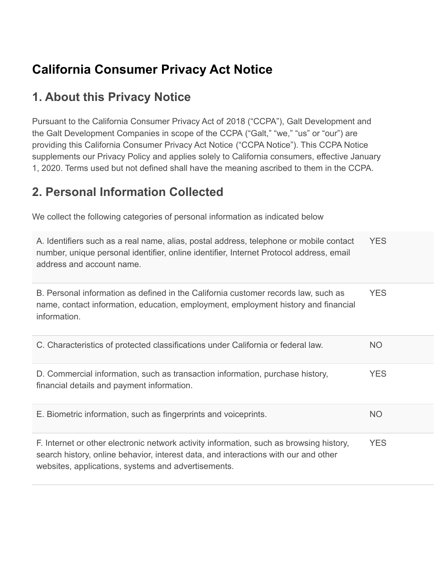# **California Consumer Privacy Act Notice**

#### **1. About this Privacy Notice**

Pursuant to the California Consumer Privacy Act of 2018 ("CCPA"), Galt Development and the Galt Development Companies in scope of the CCPA ("Galt," "we," "us" or "our") are providing this California Consumer Privacy Act Notice ("CCPA Notice"). This CCPA Notice supplements our Privacy Policy and applies solely to California consumers, effective January 1, 2020. Terms used but not defined shall have the meaning ascribed to them in the CCPA.

#### **2. Personal Information Collected**

We collect the following categories of personal information as indicated below

| A. Identifiers such as a real name, alias, postal address, telephone or mobile contact<br>number, unique personal identifier, online identifier, Internet Protocol address, email<br>address and account name.                        | <b>YES</b> |
|---------------------------------------------------------------------------------------------------------------------------------------------------------------------------------------------------------------------------------------|------------|
| B. Personal information as defined in the California customer records law, such as<br>name, contact information, education, employment, employment history and financial<br>information.                                              | <b>YES</b> |
| C. Characteristics of protected classifications under California or federal law.                                                                                                                                                      | <b>NO</b>  |
| D. Commercial information, such as transaction information, purchase history,<br>financial details and payment information.                                                                                                           | <b>YES</b> |
| E. Biometric information, such as fingerprints and voiceprints.                                                                                                                                                                       | <b>NO</b>  |
| F. Internet or other electronic network activity information, such as browsing history,<br>search history, online behavior, interest data, and interactions with our and other<br>websites, applications, systems and advertisements. | <b>YES</b> |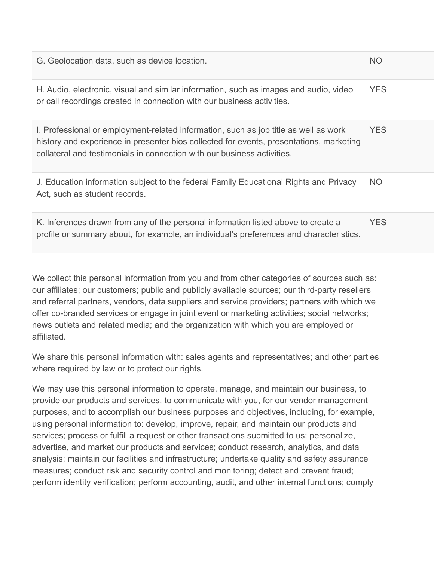| G. Geolocation data, such as device location.                                                                                                                                                                                                              | N <sub>O</sub> |
|------------------------------------------------------------------------------------------------------------------------------------------------------------------------------------------------------------------------------------------------------------|----------------|
| H. Audio, electronic, visual and similar information, such as images and audio, video<br>or call recordings created in connection with our business activities.                                                                                            | <b>YES</b>     |
| I. Professional or employment-related information, such as job title as well as work<br>history and experience in presenter bios collected for events, presentations, marketing<br>collateral and testimonials in connection with our business activities. | <b>YES</b>     |
| J. Education information subject to the federal Family Educational Rights and Privacy<br>Act, such as student records.                                                                                                                                     | <b>NO</b>      |
| K. Inferences drawn from any of the personal information listed above to create a<br>profile or summary about, for example, an individual's preferences and characteristics.                                                                               | <b>YES</b>     |

We collect this personal information from you and from other categories of sources such as: our affiliates; our customers; public and publicly available sources; our third-party resellers and referral partners, vendors, data suppliers and service providers; partners with which we offer co-branded services or engage in joint event or marketing activities; social networks; news outlets and related media; and the organization with which you are employed or affiliated.

We share this personal information with: sales agents and representatives; and other parties where required by law or to protect our rights.

We may use this personal information to operate, manage, and maintain our business, to provide our products and services, to communicate with you, for our vendor management purposes, and to accomplish our business purposes and objectives, including, for example, using personal information to: develop, improve, repair, and maintain our products and services; process or fulfill a request or other transactions submitted to us; personalize, advertise, and market our products and services; conduct research, analytics, and data analysis; maintain our facilities and infrastructure; undertake quality and safety assurance measures; conduct risk and security control and monitoring; detect and prevent fraud; perform identity verification; perform accounting, audit, and other internal functions; comply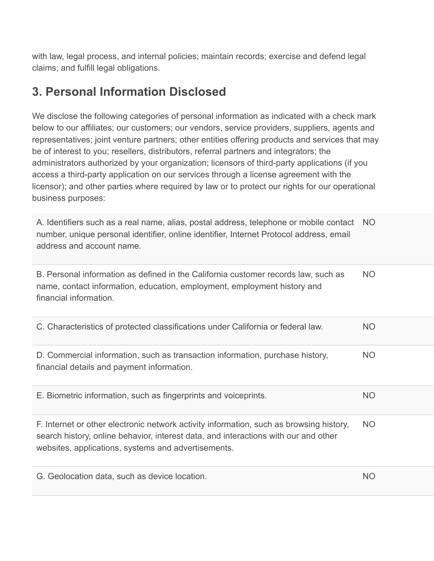with law, legal process, and internal policies; maintain records; exercise and defend legal claims; and fulfill legal obligations.

#### **3. Personal Information Disclosed**

We disclose the following categories of personal information as indicated with a check mark below to our affiliates; our customers; our vendors, service providers, suppliers, agents and representatives; joint venture partners; other entities offering products and services that may be of interest to you; resellers, distributors, referral partners and integrators; the administrators authorized by your organization; licensors of third-party applications (if you access a third-party application on our services through a license agreement with the licensor); and other parties where required by law or to protect our rights for our operational business purposes:

A. Identifiers such as a real name, alias, postal address, telephone or mobile contact NO number, unique personal identifier, online identifier, Internet Protocol address, email address and account name.

B. Personal information as defined in the California customer records law, such as name, contact information, education, employment, employment history and financial information. NO C. Characteristics of protected classifications under California or federal law. NO D. Commercial information, such as transaction information, purchase history, financial details and payment information. NO E. Biometric information, such as fingerprints and voiceprints. NO F. Internet or other electronic network activity information, such as browsing history, search history, online behavior, interest data, and interactions with our and other websites, applications, systems and advertisements. NO G. Geolocation data, such as device location. The contract of the contract of the contract of the contract of the contract of the contract of the contract of the contract of the contract of the contract of the contract of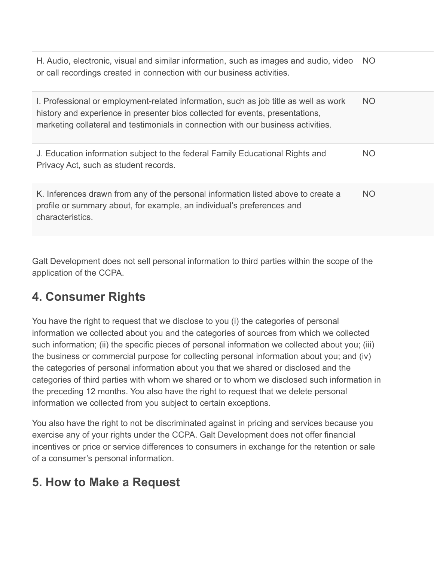| H. Audio, electronic, visual and similar information, such as images and audio, video NO<br>or call recordings created in connection with our business activities.                                                                                         |           |
|------------------------------------------------------------------------------------------------------------------------------------------------------------------------------------------------------------------------------------------------------------|-----------|
| I. Professional or employment-related information, such as job title as well as work<br>history and experience in presenter bios collected for events, presentations,<br>marketing collateral and testimonials in connection with our business activities. | <b>NO</b> |
| J. Education information subject to the federal Family Educational Rights and<br>Privacy Act, such as student records.                                                                                                                                     | <b>NO</b> |
| K. Inferences drawn from any of the personal information listed above to create a<br>profile or summary about, for example, an individual's preferences and<br>characteristics.                                                                            | <b>NO</b> |

Galt Development does not sell personal information to third parties within the scope of the application of the CCPA.

### **4. Consumer Rights**

You have the right to request that we disclose to you (i) the categories of personal information we collected about you and the categories of sources from which we collected such information; (ii) the specific pieces of personal information we collected about you; (iii) the business or commercial purpose for collecting personal information about you; and (iv) the categories of personal information about you that we shared or disclosed and the categories of third parties with whom we shared or to whom we disclosed such information in the preceding 12 months. You also have the right to request that we delete personal information we collected from you subject to certain exceptions.

You also have the right to not be discriminated against in pricing and services because you exercise any of your rights under the CCPA. Galt Development does not offer financial incentives or price or service differences to consumers in exchange for the retention or sale of a consumer's personal information.

# **5. How to Make a Request**